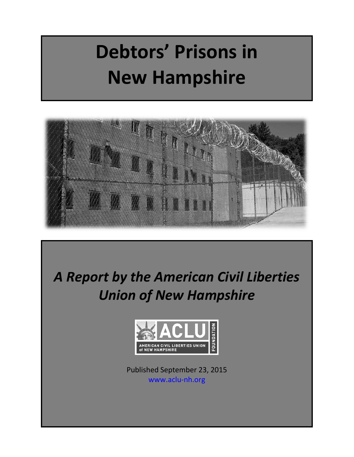# **Debtors' Prisons in New Hampshire**



*A Report by the American Civil Liberties Union of New Hampshire* 



Published September 23, 2015 [www.aclu-nh.org](http://www.aclu-nh.org/)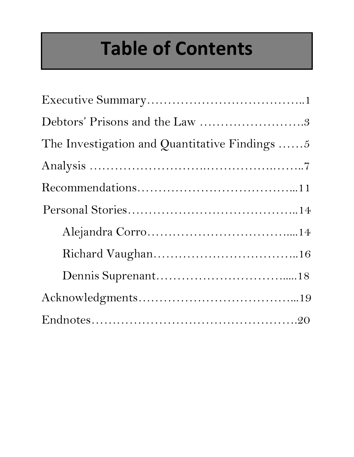# **Table of Contents**

| Debtors' Prisons and the Law 3                        |
|-------------------------------------------------------|
| The Investigation and Quantitative Findings $\dots 5$ |
|                                                       |
|                                                       |
|                                                       |
|                                                       |
|                                                       |
|                                                       |
|                                                       |
|                                                       |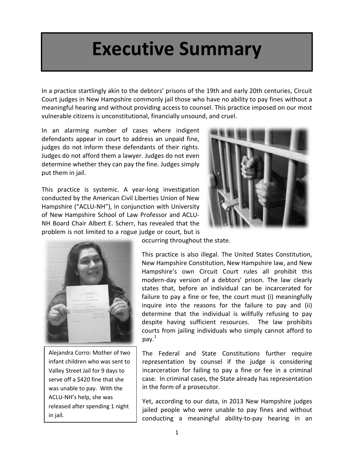## **Executive Summary**

In a practice startlingly akin to the debtors' prisons of the 19th and early 20th centuries, Circuit Court judges in New Hampshire commonly jail those who have no ability to pay fines without a meaningful hearing and without providing access to counsel. This practice imposed on our most vulnerable citizens is unconstitutional, financially unsound, and cruel.

In an alarming number of cases where indigent defendants appear in court to address an unpaid fine, judges do not inform these defendants of their rights. Judges do not afford them a lawyer. Judges do not even determine whether they can pay the fine. Judges simply put them in jail.

This practice is systemic. A year-long investigation conducted by the American Civil Liberties Union of New Hampshire ("ACLU-NH"), in conjunction with University of New Hampshire School of Law Professor and ACLU-NH Board Chair Albert E. Scherr, has revealed that the problem is not limited to a rogue judge or court, but is





Alejandra Corro: Mother of two infant children who was sent to Valley Street Jail for 9 days to serve off a \$420 fine that she was unable to pay. With the ACLU-NH's help, she was released after spending 1 night in jail.

occurring throughout the state.

This practice is also illegal. The United States Constitution, New Hampshire Constitution, New Hampshire law, and New Hampshire's own Circuit Court rules all prohibit this modern-day version of a debtors' prison. The law clearly states that, before an individual can be incarcerated for failure to pay a fine or fee, the court must (i) meaningfully inquire into the reasons for the failure to pay and (ii) determine that the individual is willfully refusing to pay despite having sufficient resources. The law prohibits courts from jailing individuals who simply cannot afford to pay. $^1$ 

The Federal and State Constitutions further require representation by counsel if the judge is considering incarceration for failing to pay a fine or fee in a criminal case. In criminal cases, the State already has representation in the form of a prosecutor.

Yet, according to our data, in 2013 New Hampshire judges jailed people who were unable to pay fines and without conducting a meaningful ability-to-pay hearing in an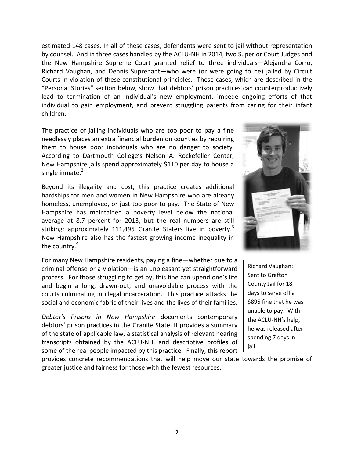estimated 148 cases. In all of these cases, defendants were sent to jail without representation by counsel. And in three cases handled by the ACLU-NH in 2014, two Superior Court Judges and the New Hampshire Supreme Court granted relief to three individuals—Alejandra Corro, Richard Vaughan, and Dennis Suprenant—who were (or were going to be) jailed by Circuit Courts in violation of these constitutional principles. These cases, which are described in the "Personal Stories" section below, show that debtors' prison practices can counterproductively lead to termination of an individual's new employment, impede ongoing efforts of that individual to gain employment, and prevent struggling parents from caring for their infant children.

The practice of jailing individuals who are too poor to pay a fine needlessly places an extra financial burden on counties by requiring them to house poor individuals who are no danger to society. According to Dartmouth College's Nelson A. Rockefeller Center, New Hampshire jails spend approximately \$110 per day to house a single inmate.<sup>2</sup>

Beyond its illegality and cost, this practice creates additional hardships for men and women in New Hampshire who are already homeless, unemployed, or just too poor to pay. The State of New Hampshire has maintained a poverty level below the national average at 8.7 percent for 2013, but the real numbers are still striking: approximately 111,495 Granite Staters live in poverty.<sup>3</sup> New Hampshire also has the fastest growing income inequality in the country.<sup>4</sup>

For many New Hampshire residents, paying a fine—whether due to a criminal offense or a violation—is an unpleasant yet straightforward process. For those struggling to get by, this fine can upend one's life and begin a long, drawn-out, and unavoidable process with the courts culminating in illegal incarceration. This practice attacks the social and economic fabric of their lives and the lives of their families.

*Debtor's Prisons in New Hampshire* documents contemporary debtors' prison practices in the Granite State. It provides a summary of the state of applicable law, a statistical analysis of relevant hearing transcripts obtained by the ACLU-NH, and descriptive profiles of some of the real people impacted by this practice. Finally, this report

provides concrete recommendations that will help move our state towards the promise of greater justice and fairness for those with the fewest resources.



Richard Vaughan: Sent to Grafton County Jail for 18 days to serve off a \$895 fine that he was unable to pay. With the ACLU-NH's help, he was released after spending 7 days in jail.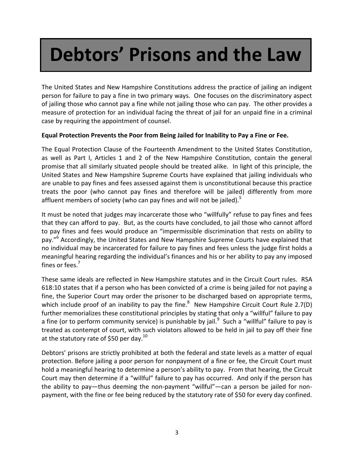# **Debtors' Prisons and the Law**

The United States and New Hampshire Constitutions address the practice of jailing an indigent person for failure to pay a fine in two primary ways. One focuses on the discriminatory aspect of jailing those who cannot pay a fine while not jailing those who can pay. The other provides a measure of protection for an individual facing the threat of jail for an unpaid fine in a criminal case by requiring the appointment of counsel.

#### **Equal Protection Prevents the Poor from Being Jailed for Inability to Pay a Fine or Fee.**

The Equal Protection Clause of the Fourteenth Amendment to the United States Constitution, as well as Part I, Articles 1 and 2 of the New Hampshire Constitution, contain the general promise that all similarly situated people should be treated alike. In light of this principle, the United States and New Hampshire Supreme Courts have explained that jailing individuals who are unable to pay fines and fees assessed against them is unconstitutional because this practice treats the poor (who cannot pay fines and therefore will be jailed) differently from more affluent members of society (who can pay fines and will not be jailed). $5$ 

It must be noted that judges may incarcerate those who "willfully" refuse to pay fines and fees that they can afford to pay. But, as the courts have concluded, to jail those who cannot afford to pay fines and fees would produce an "impermissible discrimination that rests on ability to pay."<sup>6</sup> Accordingly, the United States and New Hampshire Supreme Courts have explained that no individual may be incarcerated for failure to pay fines and fees unless the judge first holds a meaningful hearing regarding the individual's finances and his or her ability to pay any imposed fines or fees. 7

These same ideals are reflected in New Hampshire statutes and in the Circuit Court rules. RSA 618:10 states that if a person who has been convicted of a crime is being jailed for not paying a fine, the Superior Court may order the prisoner to be discharged based on appropriate terms, which include proof of an inability to pay the fine.<sup>8</sup> New Hampshire Circuit Court Rule 2.7(D) further memorializes these constitutional principles by stating that only a "willful" failure to pay a fine (or to perform community service) is punishable by jail. $^9$  Such a "willful" failure to pay is treated as contempt of court, with such violators allowed to be held in jail to pay off their fine at the statutory rate of \$50 per day. $^{10}$ 

Debtors' prisons are strictly prohibited at both the federal and state levels as a matter of equal protection. Before jailing a poor person for nonpayment of a fine or fee, the Circuit Court must hold a meaningful hearing to determine a person's ability to pay. From that hearing, the Circuit Court may then determine if a "willful" failure to pay has occurred. And only if the person has the ability to pay—thus deeming the non-payment "willful"—can a person be jailed for nonpayment, with the fine or fee being reduced by the statutory rate of \$50 for every day confined.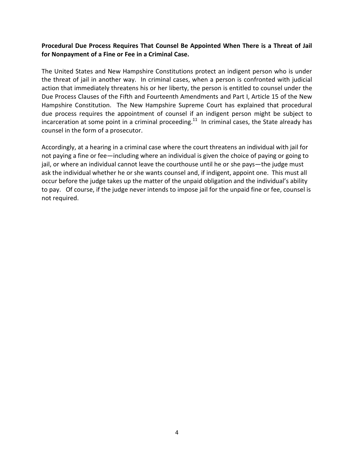#### **Procedural Due Process Requires That Counsel Be Appointed When There is a Threat of Jail for Nonpayment of a Fine or Fee in a Criminal Case.**

The United States and New Hampshire Constitutions protect an indigent person who is under the threat of jail in another way. In criminal cases, when a person is confronted with judicial action that immediately threatens his or her liberty, the person is entitled to counsel under the Due Process Clauses of the Fifth and Fourteenth Amendments and Part I, Article 15 of the New Hampshire Constitution. The New Hampshire Supreme Court has explained that procedural due process requires the appointment of counsel if an indigent person might be subject to incarceration at some point in a criminal proceeding.<sup>11</sup> In criminal cases, the State already has counsel in the form of a prosecutor.

Accordingly, at a hearing in a criminal case where the court threatens an individual with jail for not paying a fine or fee—including where an individual is given the choice of paying or going to jail, or where an individual cannot leave the courthouse until he or she pays—the judge must ask the individual whether he or she wants counsel and, if indigent, appoint one. This must all occur before the judge takes up the matter of the unpaid obligation and the individual's ability to pay. Of course, if the judge never intends to impose jail for the unpaid fine or fee, counsel is not required.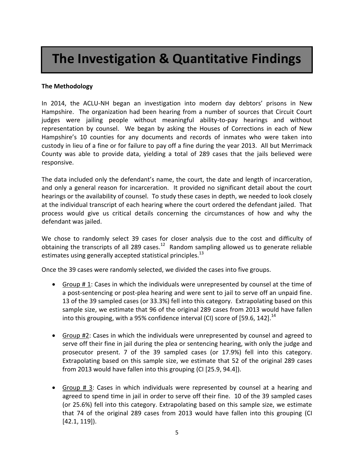## **The Investigation & Quantitative Findings**

#### **The Methodology**

In 2014, the ACLU-NH began an investigation into modern day debtors' prisons in New Hampshire. The organization had been hearing from a number of sources that Circuit Court judges were jailing people without meaningful ability-to-pay hearings and without representation by counsel. We began by asking the Houses of Corrections in each of New Hampshire's 10 counties for any documents and records of inmates who were taken into custody in lieu of a fine or for failure to pay off a fine during the year 2013. All but Merrimack County was able to provide data, yielding a total of 289 cases that the jails believed were responsive.

The data included only the defendant's name, the court, the date and length of incarceration, and only a general reason for incarceration. It provided no significant detail about the court hearings or the availability of counsel. To study these cases in depth, we needed to look closely at the individual transcript of each hearing where the court ordered the defendant jailed. That process would give us critical details concerning the circumstances of how and why the defendant was jailed.

We chose to randomly select 39 cases for closer analysis due to the cost and difficulty of obtaining the transcripts of all 289 cases. $^{12}$  Random sampling allowed us to generate reliable estimates using generally accepted statistical principles.<sup>13</sup>

Once the 39 cases were randomly selected, we divided the cases into five groups.

- Group # 1: Cases in which the individuals were unrepresented by counsel at the time of a post-sentencing or post-plea hearing and were sent to jail to serve off an unpaid fine. 13 of the 39 sampled cases (or 33.3%) fell into this category. Extrapolating based on this sample size, we estimate that 96 of the original 289 cases from 2013 would have fallen into this grouping, with a 95% confidence interval (CI) score of [59.6, 142]. $^{14}$
- Group #2: Cases in which the individuals were unrepresented by counsel and agreed to serve off their fine in jail during the plea or sentencing hearing, with only the judge and prosecutor present. 7 of the 39 sampled cases (or 17.9%) fell into this category. Extrapolating based on this sample size, we estimate that 52 of the original 289 cases from 2013 would have fallen into this grouping (CI [25.9, 94.4]).
- Group # 3: Cases in which individuals were represented by counsel at a hearing and agreed to spend time in jail in order to serve off their fine. 10 of the 39 sampled cases (or 25.6%) fell into this category. Extrapolating based on this sample size, we estimate that 74 of the original 289 cases from 2013 would have fallen into this grouping (CI [42.1, 119]).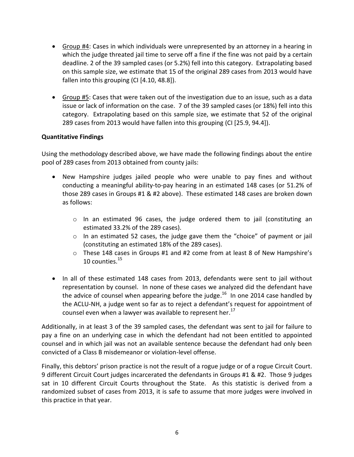- Group #4: Cases in which individuals were unrepresented by an attorney in a hearing in which the judge threated jail time to serve off a fine if the fine was not paid by a certain deadline. 2 of the 39 sampled cases (or 5.2%) fell into this category. Extrapolating based on this sample size, we estimate that 15 of the original 289 cases from 2013 would have fallen into this grouping (CI [4.10, 48.8]).
- Group #5: Cases that were taken out of the investigation due to an issue, such as a data issue or lack of information on the case. 7 of the 39 sampled cases (or 18%) fell into this category. Extrapolating based on this sample size, we estimate that 52 of the original 289 cases from 2013 would have fallen into this grouping (CI [25.9, 94.4]).

#### **Quantitative Findings**

Using the methodology described above, we have made the following findings about the entire pool of 289 cases from 2013 obtained from county jails:

- New Hampshire judges jailed people who were unable to pay fines and without conducting a meaningful ability-to-pay hearing in an estimated 148 cases (or 51.2% of those 289 cases in Groups #1 & #2 above). These estimated 148 cases are broken down as follows:
	- $\circ$  In an estimated 96 cases, the judge ordered them to jail (constituting an estimated 33.2% of the 289 cases).
	- o In an estimated 52 cases, the judge gave them the "choice" of payment or jail (constituting an estimated 18% of the 289 cases).
	- $\circ$  These 148 cases in Groups #1 and #2 come from at least 8 of New Hampshire's 10 counties.<sup>15</sup>
- In all of these estimated 148 cases from 2013, defendants were sent to jail without representation by counsel. In none of these cases we analyzed did the defendant have the advice of counsel when appearing before the judge.<sup>16</sup> In one 2014 case handled by the ACLU-NH, a judge went so far as to reject a defendant's request for appointment of counsel even when a lawyer was available to represent her.<sup>17</sup>

Additionally, in at least 3 of the 39 sampled cases, the defendant was sent to jail for failure to pay a fine on an underlying case in which the defendant had not been entitled to appointed counsel and in which jail was not an available sentence because the defendant had only been convicted of a Class B misdemeanor or violation-level offense.

Finally, this debtors' prison practice is not the result of a rogue judge or of a rogue Circuit Court. 9 different Circuit Court judges incarcerated the defendants in Groups #1 & #2. Those 9 judges sat in 10 different Circuit Courts throughout the State. As this statistic is derived from a randomized subset of cases from 2013, it is safe to assume that more judges were involved in this practice in that year.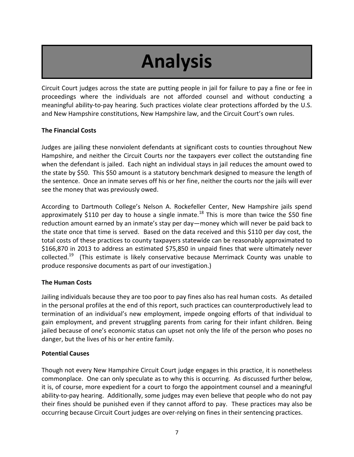# **Analysis**

Circuit Court judges across the state are putting people in jail for failure to pay a fine or fee in proceedings where the individuals are not afforded counsel and without conducting a meaningful ability-to-pay hearing. Such practices violate clear protections afforded by the U.S. and New Hampshire constitutions, New Hampshire law, and the Circuit Court's own rules.

#### **The Financial Costs**

Judges are jailing these nonviolent defendants at significant costs to counties throughout New Hampshire, and neither the Circuit Courts nor the taxpayers ever collect the outstanding fine when the defendant is jailed. Each night an individual stays in jail reduces the amount owed to the state by \$50. This \$50 amount is a statutory benchmark designed to measure the length of the sentence. Once an inmate serves off his or her fine, neither the courts nor the jails will ever see the money that was previously owed.

According to Dartmouth College's Nelson A. Rockefeller Center, New Hampshire jails spend approximately \$110 per day to house a single inmate.<sup>18</sup> This is more than twice the \$50 fine reduction amount earned by an inmate's stay per day—money which will never be paid back to the state once that time is served. Based on the data received and this \$110 per day cost, the total costs of these practices to county taxpayers statewide can be reasonably approximated to \$166,870 in 2013 to address an estimated \$75,850 in unpaid fines that were ultimately never collected.<sup>19</sup> (This estimate is likely conservative because Merrimack County was unable to produce responsive documents as part of our investigation.)

#### **The Human Costs**

Jailing individuals because they are too poor to pay fines also has real human costs. As detailed in the personal profiles at the end of this report, such practices can counterproductively lead to termination of an individual's new employment, impede ongoing efforts of that individual to gain employment, and prevent struggling parents from caring for their infant children. Being jailed because of one's economic status can upset not only the life of the person who poses no danger, but the lives of his or her entire family.

#### **Potential Causes**

Though not every New Hampshire Circuit Court judge engages in this practice, it is nonetheless commonplace. One can only speculate as to why this is occurring. As discussed further below, it is, of course, more expedient for a court to forgo the appointment counsel and a meaningful ability-to-pay hearing. Additionally, some judges may even believe that people who do not pay their fines should be punished even if they cannot afford to pay. These practices may also be occurring because Circuit Court judges are over-relying on fines in their sentencing practices.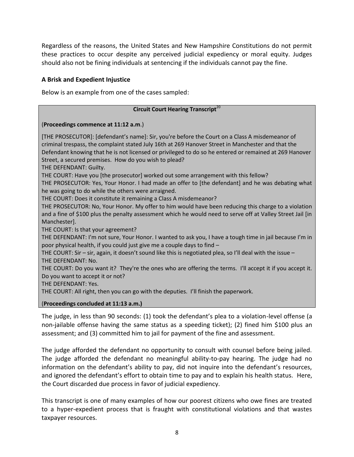Regardless of the reasons, the United States and New Hampshire Constitutions do not permit these practices to occur despite any perceived judicial expediency or moral equity. Judges should also not be fining individuals at sentencing if the individuals cannot pay the fine.

#### **A Brisk and Expedient Injustice**

Below is an example from one of the cases sampled:

#### **Circuit Court Hearing Transcript**<sup>20</sup>

#### (**Proceedings commence at 11:12 a.m**.)

[THE PROSECUTOR]: [defendant's name]: Sir, you're before the Court on a Class A misdemeanor of criminal trespass, the complaint stated July 16th at 269 Hanover Street in Manchester and that the Defendant knowing that he is not licensed or privileged to do so he entered or remained at 269 Hanover Street, a secured premises. How do you wish to plead? THE DEFENDANT: Guilty. THE COURT: Have you [the prosecutor] worked out some arrangement with this fellow? THE PROSECUTOR: Yes, Your Honor. I had made an offer to [the defendant] and he was debating what he was going to do while the others were arraigned. THE COURT: Does it constitute it remaining a Class A misdemeanor? THE PROSECUTOR: No, Your Honor. My offer to him would have been reducing this charge to a violation and a fine of \$100 plus the penalty assessment which he would need to serve off at Valley Street Jail [in Manchester]. THE COURT: Is that your agreement? THE DEFENDANT: I'm not sure, Your Honor. I wanted to ask you, I have a tough time in jail because I'm in poor physical health, if you could just give me a couple days to find – THE COURT: Sir – sir, again, it doesn't sound like this is negotiated plea, so I'll deal with the issue – THE DEFENDANT: No. THE COURT: Do you want it? They're the ones who are offering the terms. I'll accept it if you accept it. Do you want to accept it or not?

THE DEFENDANT: Yes.

THE COURT: All right, then you can go with the deputies. I'll finish the paperwork.

#### (**Proceedings concluded at 11:13 a.m.)**

The judge, in less than 90 seconds: (1) took the defendant's plea to a violation-level offense (a non-jailable offense having the same status as a speeding ticket); (2) fined him \$100 plus an assessment; and (3) committed him to jail for payment of the fine and assessment.

The judge afforded the defendant no opportunity to consult with counsel before being jailed. The judge afforded the defendant no meaningful ability-to-pay hearing. The judge had no information on the defendant's ability to pay, did not inquire into the defendant's resources, and ignored the defendant's effort to obtain time to pay and to explain his health status. Here, the Court discarded due process in favor of judicial expediency.

This transcript is one of many examples of how our poorest citizens who owe fines are treated to a hyper-expedient process that is fraught with constitutional violations and that wastes taxpayer resources.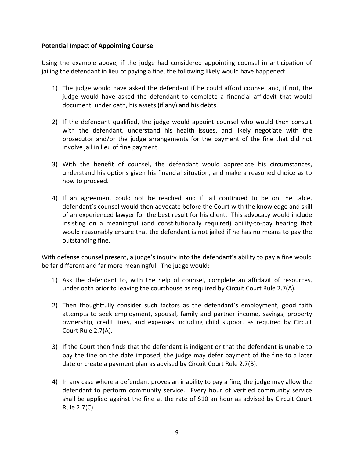#### **Potential Impact of Appointing Counsel**

Using the example above, if the judge had considered appointing counsel in anticipation of jailing the defendant in lieu of paying a fine, the following likely would have happened:

- 1) The judge would have asked the defendant if he could afford counsel and, if not, the judge would have asked the defendant to complete a financial affidavit that would document, under oath, his assets (if any) and his debts.
- 2) If the defendant qualified, the judge would appoint counsel who would then consult with the defendant, understand his health issues, and likely negotiate with the prosecutor and/or the judge arrangements for the payment of the fine that did not involve jail in lieu of fine payment.
- 3) With the benefit of counsel, the defendant would appreciate his circumstances, understand his options given his financial situation, and make a reasoned choice as to how to proceed.
- 4) If an agreement could not be reached and if jail continued to be on the table, defendant's counsel would then advocate before the Court with the knowledge and skill of an experienced lawyer for the best result for his client. This advocacy would include insisting on a meaningful (and constitutionally required) ability-to-pay hearing that would reasonably ensure that the defendant is not jailed if he has no means to pay the outstanding fine.

With defense counsel present, a judge's inquiry into the defendant's ability to pay a fine would be far different and far more meaningful. The judge would:

- 1) Ask the defendant to, with the help of counsel, complete an affidavit of resources, under oath prior to leaving the courthouse as required by Circuit Court Rule 2.7(A).
- 2) Then thoughtfully consider such factors as the defendant's employment, good faith attempts to seek employment, spousal, family and partner income, savings, property ownership, credit lines, and expenses including child support as required by Circuit Court Rule 2.7(A).
- 3) If the Court then finds that the defendant is indigent or that the defendant is unable to pay the fine on the date imposed, the judge may defer payment of the fine to a later date or create a payment plan as advised by Circuit Court Rule 2.7(B).
- 4) In any case where a defendant proves an inability to pay a fine, the judge may allow the defendant to perform community service. Every hour of verified community service shall be applied against the fine at the rate of \$10 an hour as advised by Circuit Court Rule 2.7(C).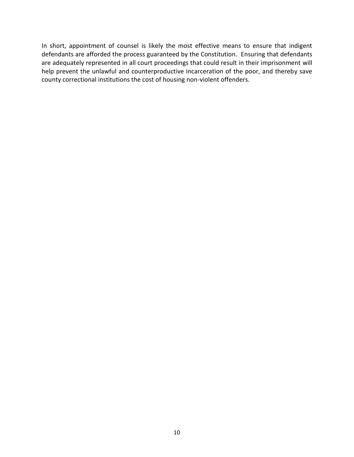In short, appointment of counsel is likely the most effective means to ensure that indigent defendants are afforded the process guaranteed by the Constitution. Ensuring that defendants are adequately represented in all court proceedings that could result in their imprisonment will help prevent the unlawful and counterproductive incarceration of the poor, and thereby save county correctional institutions the cost of housing non-violent offenders.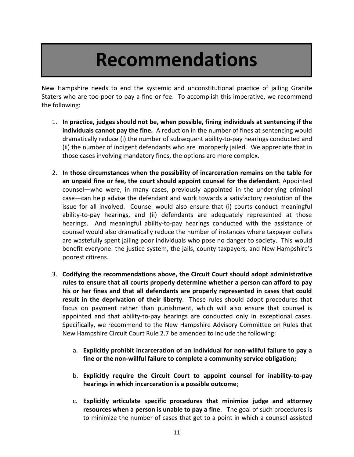## **Recommendations**

New Hampshire needs to end the systemic and unconstitutional practice of jailing Granite Staters who are too poor to pay a fine or fee. To accomplish this imperative, we recommend the following:

- 1. **In practice, judges should not be, when possible, fining individuals at sentencing if the individuals cannot pay the fine.** A reduction in the number of fines at sentencing would dramatically reduce (i) the number of subsequent ability-to-pay hearings conducted and (ii) the number of indigent defendants who are improperly jailed. We appreciate that in those cases involving mandatory fines, the options are more complex.
- 2. **In those circumstances when the possibility of incarceration remains on the table for an unpaid fine or fee, the court should appoint counsel for the defendant**. Appointed counsel—who were, in many cases, previously appointed in the underlying criminal case—can help advise the defendant and work towards a satisfactory resolution of the issue for all involved. Counsel would also ensure that (i) courts conduct meaningful ability-to-pay hearings, and (ii) defendants are adequately represented at those hearings. And meaningful ability-to-pay hearings conducted with the assistance of counsel would also dramatically reduce the number of instances where taxpayer dollars are wastefully spent jailing poor individuals who pose no danger to society. This would benefit everyone: the justice system, the jails, county taxpayers, and New Hampshire's poorest citizens.
- 3. **Codifying the recommendations above, the Circuit Court should adopt administrative rules to ensure that all courts properly determine whether a person can afford to pay his or her fines and that all defendants are properly represented in cases that could result in the deprivation of their liberty**. These rules should adopt procedures that focus on payment rather than punishment, which will also ensure that counsel is appointed and that ability-to-pay hearings are conducted only in exceptional cases. Specifically, we recommend to the New Hampshire Advisory Committee on Rules that New Hampshire Circuit Court Rule 2.7 be amended to include the following:
	- a. **Explicitly prohibit incarceration of an individual for non-willful failure to pay a fine or the non-willful failure to complete a community service obligation;**
	- b. **Explicitly require the Circuit Court to appoint counsel for inability-to-pay hearings in which incarceration is a possible outcome**;
	- c. **Explicitly articulate specific procedures that minimize judge and attorney resources when a person is unable to pay a fine**. The goal of such procedures is to minimize the number of cases that get to a point in which a counsel-assisted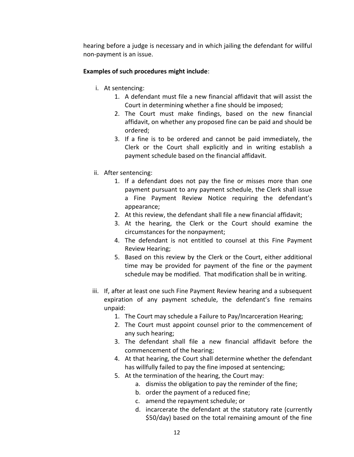hearing before a judge is necessary and in which jailing the defendant for willful non-payment is an issue.

#### **Examples of such procedures might include**:

- i. At sentencing:
	- 1. A defendant must file a new financial affidavit that will assist the Court in determining whether a fine should be imposed;
	- 2. The Court must make findings, based on the new financial affidavit, on whether any proposed fine can be paid and should be ordered;
	- 3. If a fine is to be ordered and cannot be paid immediately, the Clerk or the Court shall explicitly and in writing establish a payment schedule based on the financial affidavit.
- ii. After sentencing:
	- 1. If a defendant does not pay the fine or misses more than one payment pursuant to any payment schedule, the Clerk shall issue a Fine Payment Review Notice requiring the defendant's appearance;
	- 2. At this review, the defendant shall file a new financial affidavit;
	- 3. At the hearing, the Clerk or the Court should examine the circumstances for the nonpayment;
	- 4. The defendant is not entitled to counsel at this Fine Payment Review Hearing;
	- 5. Based on this review by the Clerk or the Court, either additional time may be provided for payment of the fine or the payment schedule may be modified. That modification shall be in writing.
- iii. If, after at least one such Fine Payment Review hearing and a subsequent expiration of any payment schedule, the defendant's fine remains unpaid:
	- 1. The Court may schedule a Failure to Pay/Incarceration Hearing;
	- 2. The Court must appoint counsel prior to the commencement of any such hearing;
	- 3. The defendant shall file a new financial affidavit before the commencement of the hearing;
	- 4. At that hearing, the Court shall determine whether the defendant has willfully failed to pay the fine imposed at sentencing;
	- 5. At the termination of the hearing, the Court may:
		- a. dismiss the obligation to pay the reminder of the fine;
		- b. order the payment of a reduced fine;
		- c. amend the repayment schedule; or
		- d. incarcerate the defendant at the statutory rate (currently \$50/day) based on the total remaining amount of the fine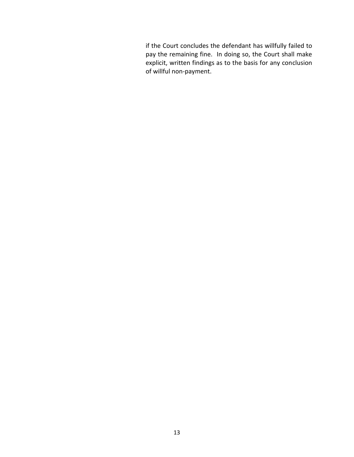if the Court concludes the defendant has willfully failed to pay the remaining fine. In doing so, the Court shall make explicit, written findings as to the basis for any conclusion of willful non-payment.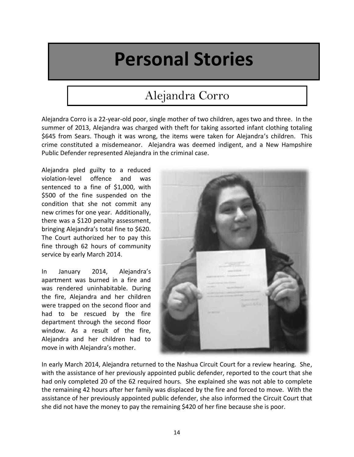## **Personal Stories**

### Alejandra Corro

Alejandra Corro is a 22-year-old poor, single mother of two children, ages two and three. In the summer of 2013, Alejandra was charged with theft for taking assorted infant clothing totaling \$645 from Sears. Though it was wrong, the items were taken for Alejandra's children. This crime constituted a misdemeanor. Alejandra was deemed indigent, and a New Hampshire Public Defender represented Alejandra in the criminal case.

Alejandra pled guilty to a reduced violation-level offence and was sentenced to a fine of \$1,000, with \$500 of the fine suspended on the condition that she not commit any new crimes for one year. Additionally, there was a \$120 penalty assessment, bringing Alejandra's total fine to \$620. The Court authorized her to pay this fine through 62 hours of community service by early March 2014.

In January 2014, Alejandra's apartment was burned in a fire and was rendered uninhabitable. During the fire, Alejandra and her children were trapped on the second floor and had to be rescued by the fire department through the second floor window. As a result of the fire, Alejandra and her children had to move in with Alejandra's mother.



In early March 2014, Alejandra returned to the Nashua Circuit Court for a review hearing. She, with the assistance of her previously appointed public defender, reported to the court that she had only completed 20 of the 62 required hours. She explained she was not able to complete the remaining 42 hours after her family was displaced by the fire and forced to move. With the assistance of her previously appointed public defender, she also informed the Circuit Court that she did not have the money to pay the remaining \$420 of her fine because she is poor.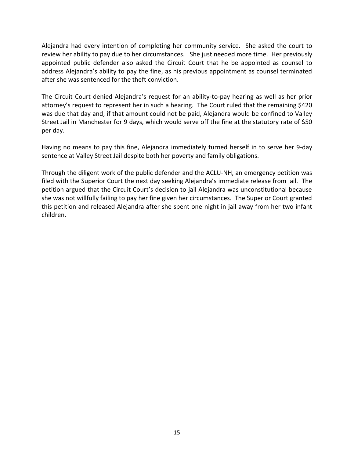Alejandra had every intention of completing her community service. She asked the court to review her ability to pay due to her circumstances. She just needed more time. Her previously appointed public defender also asked the Circuit Court that he be appointed as counsel to address Alejandra's ability to pay the fine, as his previous appointment as counsel terminated after she was sentenced for the theft conviction.

The Circuit Court denied Alejandra's request for an ability-to-pay hearing as well as her prior attorney's request to represent her in such a hearing. The Court ruled that the remaining \$420 was due that day and, if that amount could not be paid, Alejandra would be confined to Valley Street Jail in Manchester for 9 days, which would serve off the fine at the statutory rate of \$50 per day.

Having no means to pay this fine, Alejandra immediately turned herself in to serve her 9-day sentence at Valley Street Jail despite both her poverty and family obligations.

Through the diligent work of the public defender and the ACLU-NH, an emergency petition was filed with the Superior Court the next day seeking Alejandra's immediate release from jail. The petition argued that the Circuit Court's decision to jail Alejandra was unconstitutional because she was not willfully failing to pay her fine given her circumstances. The Superior Court granted this petition and released Alejandra after she spent one night in jail away from her two infant children.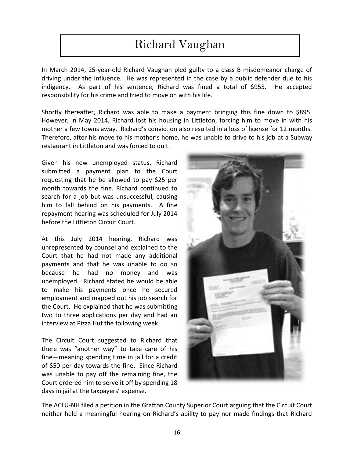### Richard Vaughan

In March 2014, 25-year-old Richard Vaughan pled guilty to a class B misdemeanor charge of driving under the influence. He was represented in the case by a public defender due to his indigency. As part of his sentence, Richard was fined a total of \$955. He accepted responsibility for his crime and tried to move on with his life.

Shortly thereafter, Richard was able to make a payment bringing this fine down to \$895. However, in May 2014, Richard lost his housing in Littleton, forcing him to move in with his mother a few towns away. Richard's conviction also resulted in a loss of license for 12 months. Therefore, after his move to his mother's home, he was unable to drive to his job at a Subway restaurant in Littleton and was forced to quit.

Given his new unemployed status, Richard submitted a payment plan to the Court requesting that he be allowed to pay \$25 per month towards the fine. Richard continued to search for a job but was unsuccessful, causing him to fall behind on his payments. A fine repayment hearing was scheduled for July 2014 before the Littleton Circuit Court.

At this July 2014 hearing, Richard was unrepresented by counsel and explained to the Court that he had not made any additional payments and that he was unable to do so because he had no money and was unemployed. Richard stated he would be able to make his payments once he secured employment and mapped out his job search for the Court. He explained that he was submitting two to three applications per day and had an interview at Pizza Hut the following week.

The Circuit Court suggested to Richard that there was "another way" to take care of his fine—meaning spending time in jail for a credit of \$50 per day towards the fine. Since Richard was unable to pay off the remaining fine, the Court ordered him to serve it off by spending 18 days in jail at the taxpayers' expense.



The ACLU-NH filed a petition in the Grafton County Superior Court arguing that the Circuit Court neither held a meaningful hearing on Richard's ability to pay nor made findings that Richard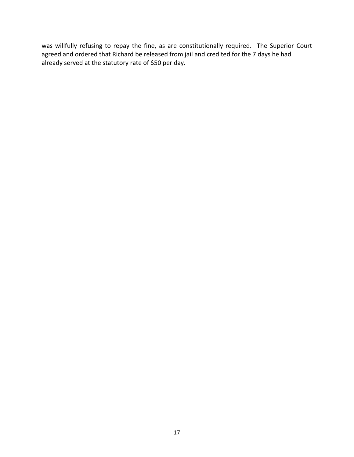was willfully refusing to repay the fine, as are constitutionally required. The Superior Court agreed and ordered that Richard be released from jail and credited for the 7 days he had already served at the statutory rate of \$50 per day.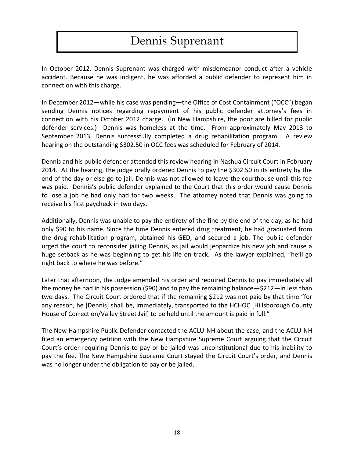### Dennis Suprenant

In October 2012, Dennis Suprenant was charged with misdemeanor conduct after a vehicle accident. Because he was indigent, he was afforded a public defender to represent him in connection with this charge.

In December 2012—while his case was pending—the Office of Cost Containment ("OCC") began sending Dennis notices regarding repayment of his public defender attorney's fees in connection with his October 2012 charge. (In New Hampshire, the poor are billed for public defender services.) Dennis was homeless at the time. From approximately May 2013 to September 2013, Dennis successfully completed a drug rehabilitation program. A review hearing on the outstanding \$302.50 in OCC fees was scheduled for February of 2014.

Dennis and his public defender attended this review hearing in Nashua Circuit Court in February 2014. At the hearing, the judge orally ordered Dennis to pay the \$302.50 in its entirety by the end of the day or else go to jail. Dennis was not allowed to leave the courthouse until this fee was paid. Dennis's public defender explained to the Court that this order would cause Dennis to lose a job he had only had for two weeks. The attorney noted that Dennis was going to receive his first paycheck in two days.

Additionally, Dennis was unable to pay the entirety of the fine by the end of the day, as he had only \$90 to his name. Since the time Dennis entered drug treatment, he had graduated from the drug rehabilitation program, obtained his GED, and secured a job. The public defender urged the court to reconsider jailing Dennis, as jail would jeopardize his new job and cause a huge setback as he was beginning to get his life on track. As the lawyer explained, "he'll go right back to where he was before."

Later that afternoon, the Judge amended his order and required Dennis to pay immediately all the money he had in his possession (\$90) and to pay the remaining balance—\$212—in less than two days. The Circuit Court ordered that if the remaining \$212 was not paid by that time "for any reason, he [Dennis] shall be, immediately, transported to the HCHOC [Hillsborough County House of Correction/Valley Street Jail] to be held until the amount is paid in full."

The New Hampshire Public Defender contacted the ACLU-NH about the case, and the ACLU-NH filed an emergency petition with the New Hampshire Supreme Court arguing that the Circuit Court's order requiring Dennis to pay or be jailed was unconstitutional due to his inability to pay the fee. The New Hampshire Supreme Court stayed the Circuit Court's order, and Dennis was no longer under the obligation to pay or be jailed.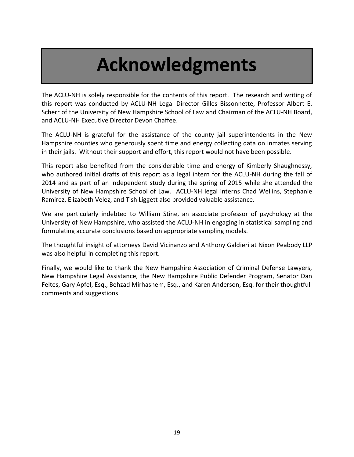# **Acknowledgments**

The ACLU-NH is solely responsible for the contents of this report. The research and writing of this report was conducted by ACLU-NH Legal Director Gilles Bissonnette, Professor Albert E. Scherr of the University of New Hampshire School of Law and Chairman of the ACLU-NH Board, and ACLU-NH Executive Director Devon Chaffee.

The ACLU-NH is grateful for the assistance of the county jail superintendents in the New Hampshire counties who generously spent time and energy collecting data on inmates serving in their jails. Without their support and effort, this report would not have been possible.

This report also benefited from the considerable time and energy of Kimberly Shaughnessy, who authored initial drafts of this report as a legal intern for the ACLU-NH during the fall of 2014 and as part of an independent study during the spring of 2015 while she attended the University of New Hampshire School of Law. ACLU-NH legal interns Chad Wellins, Stephanie Ramirez, Elizabeth Velez, and Tish Liggett also provided valuable assistance.

We are particularly indebted to William Stine, an associate professor of psychology at the University of New Hampshire, who assisted the ACLU-NH in engaging in statistical sampling and formulating accurate conclusions based on appropriate sampling models.

The thoughtful insight of attorneys David Vicinanzo and Anthony Galdieri at Nixon Peabody LLP was also helpful in completing this report.

Finally, we would like to thank the New Hampshire Association of Criminal Defense Lawyers, New Hampshire Legal Assistance, the New Hampshire Public Defender Program, Senator Dan Feltes, Gary Apfel, Esq., Behzad Mirhashem, Esq., and Karen Anderson, Esq. for their thoughtful comments and suggestions.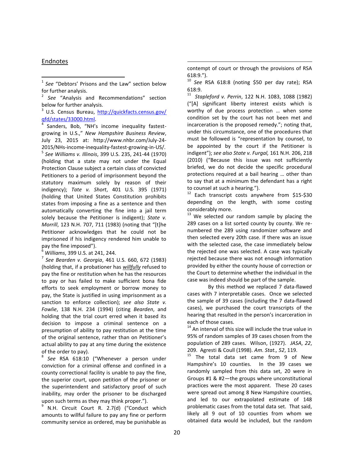#### Endnotes

 $\overline{\phantom{a}}$ 

<sup>3</sup> U.S. Census Bureau, http://quickfacts.census.gov/ qfd/states/33000.html<br><sup>4</sup> Sandars Bob "NU"

Sanders, Bob, "NH's income inequality fastestgrowing in U.S.," *New Hampshire Business Review*, July 23, 2015 at: http://www.nhbr.com/July-24- 2015/NHs-income-inequality-fastest-growing-in-US/. 5 *See Williams v. Illinois*, 399 U.S. 235, 241-44 (1970)

(holding that a state may not under the Equal Protection Clause subject a certain class of convicted Petitioners to a period of imprisonment beyond the statutory maximum solely by reason of their indigency); *Tate v. Short*, 401 U.S. 395 (1971) (holding that United States Constitution prohibits states from imposing a fine as a sentence and then automatically converting the fine into a jail term solely because the Petitioner is indigent); *State v. Morrill*, 123 N.H. 707, 711 (1983) (noting that "[t]he Petitioner acknowledges that he could not be imprisoned if his indigency rendered him unable to pay the fine imposed").

<sup>6</sup> *Williams*, 399 U.S. at 241, 244.

7 *See Bearden v. Georgia*, 461 U.S. 660, 672 (1983) (holding that, if a probationer has *willfully* refused to pay the fine or restitution when he has the resources to pay or has failed to make sufficient bona fide efforts to seek employment or borrow money to pay, the State is justified in using imprisonment as a sanction to enforce collection); *see also State v. Fowlie*, 138 N.H. 234 (1994) (citing *Bearden*, and holding that the trial court erred when it based its decision to impose a criminal sentence on a presumption of ability to pay restitution at the time of the original sentence, rather than on Petitioner's actual ability to pay at any time during the existence of the order to pay).

8 *See* RSA 618:10 ("Whenever a person under conviction for a criminal offense and confined in a county correctional facility is unable to pay the fine, the superior court, upon petition of the prisoner or the superintendent and satisfactory proof of such inability, may order the prisoner to be discharged upon such terms as they may think proper.").

9 N.H. Circuit Court R. 2.7(d) ("Conduct which amounts to willful failure to pay any fine or perform community service as ordered, may be punishable as

contempt of court or through the provisions of RSA 618:9.").

 $\overline{\phantom{a}}$ 

<sup>10</sup> *See* RSA 618:8 (noting \$50 per day rate); RSA 618:9.

11 *Stapleford v. Perrin*, 122 N.H. 1083, 1088 (1982) ("[A] significant liberty interest exists which is worthy of due process protection … when some condition set by the court has not been met and incarceration is the proposed remedy."; noting that, under this circumstance, one of the procedures that must be followed is "representation by counsel, to be appointed by the court if the Petitioner is indigent"); *see also State v. Furgal,* 161 N.H. 206, 218 (2010) ("Because this issue was not sufficiently briefed, we do not decide the specific procedural protections required at a bail hearing … other than to say that at a minimum the defendant has a right to counsel at such a hearing.").

 $12$  Each transcript costs anywhere from \$15-\$30 depending on the length, with some costing considerably more.

 $13$  We selected our random sample by placing the 289 cases on a list sorted county by county. We renumbered the 289 using randomizer software and then selected every 20th case. If there was an issue with the selected case, the case immediately below the rejected one was selected. A case was typically rejected because there was not enough information provided by either the county house of correction or the Court to determine whether the individual in the case was indeed should be part of the sample.

By this method we replaced 7 data-flawed cases with 7 interpretable cases. Once we selected the sample of 39 cases (including the 7 data-flawed cases), we purchased the court transcripts of the hearing that resulted in the person's incarceration in each of those cases.

 $14$  An interval of this size will include the true value in 95% of random samples of 39 cases chosen from the population of 289 cases. Wilson, (1927). *JASA*, *22*, 209. Agresti & Coull (1998). *Am. Stat., 52*, 119.

<sup>15</sup> The total data set came from 9 of New Hampshire's 10 counties. In the 39 cases we randomly sampled from this data set, 20 were in Groups #1 & #2—the groups where unconstitutional practices were the most apparent. These 20 cases were spread out among 8 New Hampshire counties, and led to our extrapolated estimate of 148 problematic cases from the total data set. That said, likely all 9 out of 10 counties from whom we obtained data would be included, but the random

<sup>1</sup> *See* "Debtors' Prisons and the Law" section below for further analysis.

<sup>2</sup> *See* "Analysis and Recommendations" section below for further analysis.